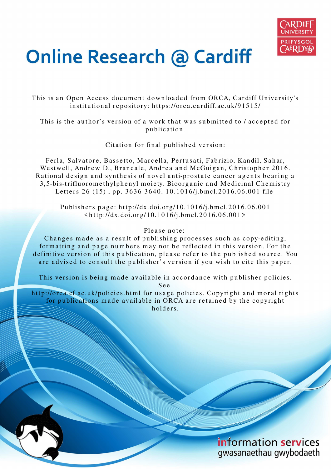

# **Online Research @ Cardiff**

This is an Open Access document downloaded from ORCA, Cardiff University's institutional repository: https://orca.cardiff.ac.uk/91515/

This is the author's version of a work that was submitted to / accepted for p u blication.

Citation for final published version:

Ferla, Salvatore, Bassetto, Marcella, Pertusati, Fabrizio, Kandil, Sahar, Westwell, Andrew D., Brancale, Andrea and McGuigan, Christopher 2016. Rational design and synthesis of novel anti-prostate cancer agents bearing a 3,5-bis-trifluoromethylphenyl moiety. Bioorganic and Medicinal Chemistry Letters 26 (15), pp. 3636-3640. 10.1016/j.bmcl.2016.06.001 file

Publishers page: http://dx.doi.org/10.1016/j.bmcl.2016.06.001  $\langle \text{http://dx.doi.org/10.1016/j.bmcl.2016.06.001>}$ 

### Please note:

Changes made as a result of publishing processes such as copy-editing, formatting and page numbers may not be reflected in this version. For the definitive version of this publication, please refer to the published source. You are advised to consult the publisher's version if you wish to cite this paper.

This version is being made available in accordance with publisher policies.

S e e

http://orca.cf.ac.uk/policies.html for usage policies. Copyright and moral rights for publications made available in ORCA are retained by the copyright holders.

> information services gwasanaethau gwybodaeth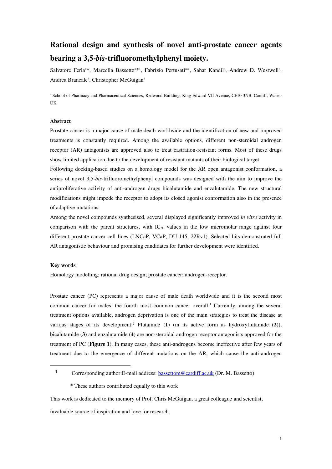## **Rational design and synthesis of novel anti-prostate cancer agents bearing a 3,5-***bis***-trifluoromethylphenyl moiety.**

Salvatore Ferla<sup>a\*</sup>, Marcella Bassetto<sup>a\*1</sup>, Fabrizio Pertusati<sup>a\*</sup>, Sahar Kandil<sup>a</sup>, Andrew D. Westwell<sup>a</sup>, Andrea Brancale<sup>a</sup>, Christopher McGuigan<sup>a</sup>

*<sup>a</sup>*School of Pharmacy and Pharmaceutical Sciences, Redwood Building, King Edward VII Avenue, CF10 3NB, Cardiff, Wales, UK

#### **Abstract**

Prostate cancer is a major cause of male death worldwide and the identification of new and improved treatments is constantly required. Among the available options, different non-steroidal androgen receptor (AR) antagonists are approved also to treat castration-resistant forms. Most of these drugs show limited application due to the development of resistant mutants of their biological target.

Following docking-based studies on a homology model for the AR open antagonist conformation, a series of novel 3,5-*bis*-trifluoromethylphenyl compounds was designed with the aim to improve the antiproliferative activity of anti-androgen drugs bicalutamide and enzalutamide. The new structural modifications might impede the receptor to adopt its closed agonist conformation also in the presence of adaptive mutations.

Among the novel compounds synthesised, several displayed significantly improved *in vitro* activity in comparison with the parent structures, with  $IC_{50}$  values in the low micromolar range against four different prostate cancer cell lines (LNCaP, VCaP, DU-145, 22Rv1). Selected hits demonstrated full AR antagonistic behaviour and promising candidates for further development were identified.

#### **Key words**

 $\overline{a}$ 

Homology modelling; rational drug design; prostate cancer; androgen-receptor.

Prostate cancer (PC) represents a major cause of male death worldwide and it is the second most common cancer for males, the fourth most common cancer overall.<sup>1</sup> Currently, among the several treatment options available, androgen deprivation is one of the main strategies to treat the disease at various stages of its development.<sup>2</sup> Flutamide (1) (in its active form as hydroxyflutamide (2)), bicalutamide (**3**) and enzalutamide (**4**) are non-steroidal androgen receptor antagonists approved for the treatment of PC (**Figure 1**). In many cases, these anti-androgens become ineffective after few years of treatment due to the emergence of different mutations on the AR, which cause the anti-androgen

1 Corresponding author: E-mail address: **bassettom@cardiff.ac.uk** (Dr. M. Bassetto)

This work is dedicated to the memory of Prof. Chris McGuigan, a great colleague and scientist,

invaluable source of inspiration and love for research.

 <sup>\*</sup> These authors contributed equally to this work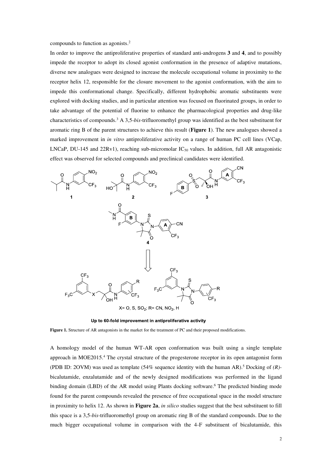compounds to function as agonists.<sup>2</sup>

In order to improve the antiproliferative properties of standard anti-androgens **3** and **4**, and to possibly impede the receptor to adopt its closed agonist conformation in the presence of adaptive mutations, diverse new analogues were designed to increase the molecule occupational volume in proximity to the receptor helix 12, responsible for the closure movement to the agonist conformation, with the aim to impede this conformational change. Specifically, different hydrophobic aromatic substituents were explored with docking studies, and in particular attention was focused on fluorinated groups, in order to take advantage of the potential of fluorine to enhance the pharmacological properties and drug-like characteristics of compounds.<sup>3</sup> A 3,5-*bis*-trifluoromethyl group was identified as the best substituent for aromatic ring B of the parent structures to achieve this result (**Figure 1**). The new analogues showed a marked improvement in *in vitro* antiproliferative activity on a range of human PC cell lines (VCap, LNCaP, DU-145 and 22Rv1), reaching sub-micromolar IC<sub>50</sub> values. In addition, full AR antagonistic effect was observed for selected compounds and preclinical candidates were identified.



Up to 60-fold improvement in antiproliferative activity

**Figure 1.** Structure of AR antagonists in the market for the treatment of PC and their proposed modifications.

A homology model of the human WT-AR open conformation was built using a single template approach in MOE2015.<sup>4</sup> The crystal structure of the progesterone receptor in its open antagonist form (PDB ID: 2OVM) was used as template (54% sequence identity with the human AR). 5 Docking of *(R)* bicalutamide, enzalutamide and of the newly designed modifications was performed in the ligand binding domain (LBD) of the AR model using Plants docking software.<sup>6</sup> The predicted binding mode found for the parent compounds revealed the presence of free occupational space in the model structure in proximity to helix 12. As shown in **Figure 2a**, *in silico* studies suggest that the best substituent to fill this space is a 3,5-*bis*-trifluoromethyl group on aromatic ring B of the standard compounds. Due to the much bigger occupational volume in comparison with the 4-F substituent of bicalutamide, this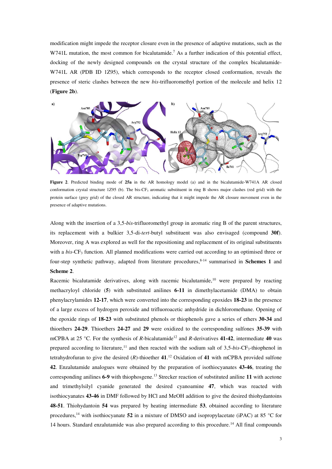modification might impede the receptor closure even in the presence of adaptive mutations, such as the W741L mutation, the most common for bicalutamide.<sup>7</sup> As a further indication of this potential effect, docking of the newly designed compounds on the crystal structure of the complex bicalutamide-W741L AR (PDB ID 1Z95), which corresponds to the receptor closed conformation, reveals the presence of steric clashes between the new *bis*-trifluoromethyl portion of the molecule and helix 12 (**Figure 2b**).



**Figure 2**. Predicted binding mode of **25a** in the AR homology model (a) and in the bicalutamide-W741A AR closed conformation crystal structure 1Z95 (b). The bis-CF<sub>3</sub> aromatic substituent in ring B shows major clashes (red grid) with the protein surface (grey grid) of the closed AR structure, indicating that it might impede the AR closure movement even in the presence of adaptive mutations.

Along with the insertion of a 3,5-*bis*-trifluoromethyl group in aromatic ring B of the parent structures, its replacement with a bulkier 3,5-di-*tert*-butyl substituent was also envisaged (compound **30f**). Moreover, ring A was explored as well for the repositioning and replacement of its original substituents with a *bis*-CF<sub>3</sub> function. All planned modifications were carried out according to an optimised three or four-step synthetic pathway, adapted from literature procedures,<sup>8-14</sup> summarised in **Schemes 1** and **Scheme 2**.

Racemic bicalutamide derivatives, along with racemic bicalutamide,<sup>10</sup> were prepared by reacting methacryloyl chloride (**5**) with substituted anilines **6-11** in dimethylacetamide (DMA) to obtain phenylacrylamides **12-17**, which were converted into the corresponding epoxides **18-23** in the presence of a large excess of hydrogen peroxide and trifluoroacetic anhydride in dichloromethane. Opening of the epoxide rings of **18-23** with substituted phenols or thiophenols gave a series of ethers **30-34** and thioethers **24-29**. Thioethers **24-27** and **29** were oxidized to the corresponding sulfones **35-39** with mCPBA at 25 °C. For the synthesis of R-bicalutamide<sup>12</sup> and R-derivatives 41-42, intermediate 40 was prepared according to literature,<sup>11</sup> and then reacted with the sodium salt of 3,5-*bis*-CF<sub>3</sub>-thiophenol in tetrahydrofuran to give the desired (*R*)-thioether **41**. <sup>12</sup> Oxidation of **41** with mCPBA provided sulfone **42**. Enzalutamide analogues were obtained by the preparation of isothiocyanates **43-46**, treating the corresponding anilines **6-9** with thiophosgene.<sup>13</sup> Strecker reaction of substituted aniline **11** with acetone and trimethylsilyl cyanide generated the desired cyanoamine **47**, which was reacted with isothiocyanates **43-46** in DMF followed by HCl and MeOH addition to give the desired thiohydantoins **48-51**. Thiohydantoin **54** was prepared by heating intermediate **53**, obtained according to literature procedures,<sup>14</sup> with isothiocyanate **52** in a mixture of DMSO and isopropylacetate (iPAC) at 85 °C for 14 hours. Standard enzalutamide was also prepared according to this procedure.<sup>14</sup> All final compounds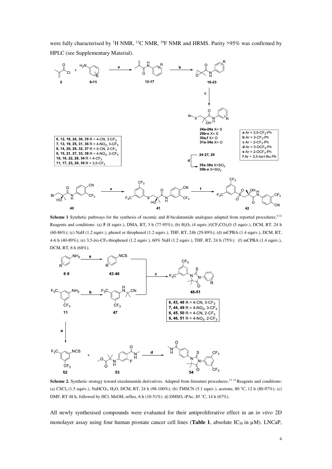were fully characterised by <sup>1</sup>H NMR, <sup>13</sup>C NMR, <sup>19</sup>F NMR and HRMS. Purity >95% was confirmed by HPLC (see Supplementary Material).



**Scheme 1** Synthetic pathways for the synthesis of racemic and *R*-bicalutamide analogues adapted from reported procedures.<sup>8-12</sup> Reagents and conditions: (a)  $5(8 \text{ equiv.})$ , DMA, RT, 3 h (77-95%); (b) H<sub>2</sub>O<sub>2</sub> (4 equiv.)/(CF<sub>3</sub>CO)<sub>2</sub>O (5 equiv.), DCM, RT, 24 h (60-86%); (c) NaH (1.2 equiv.), phenol or thiophenol (1.2 equiv.), THF, RT, 24h (29-89%); (d) mCPBA (1.4 equiv.), DCM, RT, 4-6 h (40-89%); (e) 3,5-*bis*-CF3-thiophenol (1.2 equiv.), 60% NaH (1.2 equiv.), THF, RT, 24 h (75%); (f) mCPBA (1.4 equiv.), DCM, RT, 6 h (68%).



Scheme 2. Synthetic strategy toward enzalutamide derivatives. Adapted from literature procedures.<sup>13, 14</sup> Reagents and conditions: (a) CSCl2 (1.5 equiv.), NaHCO3, H2O, DCM, RT, 24 h (98-100%); (b) TMSCN (5.1 equiv.), acetone, 80 °C, 12 h (80-97%); (c) DMF, RT 48 h, followed by HCl, MeOH, reflux, 6 h (10-51%). d) DMSO, iPAc, 85 °C, 14 h (67%).

All newly synthesised compounds were evaluated for their antiproliferative effect in an *in vitro* 2D monolayer assay using four human prostate cancer cell lines (**Table 1**, absolute  $IC_{50}$  in  $\mu$ M). LNCaP,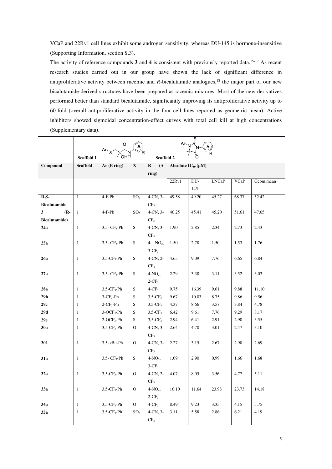VCaP and 22Rv1 cell lines exhibit some androgen sensitivity, whereas DU-145 is hormone-insensitive (Supporting Information, section S.3).

The activity of reference compounds **3** and **4** is consistent with previously reported data.15-17 As recent research studies carried out in our group have shown the lack of significant difference in antiproliferative activity between racemic and *R*-bicalutamide analogues,<sup>18</sup> the major part of our new bicalutamide-derived structures have been prepared as racemic mixtures. Most of the new derivatives performed better than standard bicalutamide, significantly improving its antiproliferative activity up to 60-fold (overall antiproliferative activity in the four cell lines reported as geometric mean). Active inhibitors showed sigmoidal concentration-effect curves with total cell kill at high concentrations (Supplementary data).

|                                   |                   | $Ar \sim N \frac{S}{N}$    |                 |                        |       |                           |              |             |           |
|-----------------------------------|-------------------|----------------------------|-----------------|------------------------|-------|---------------------------|--------------|-------------|-----------|
|                                   |                   |                            |                 |                        |       |                           |              |             |           |
|                                   | <b>Scaffold 1</b> |                            |                 | <b>Scaffold 2</b>      |       |                           |              |             |           |
| Compound                          | <b>Scaffold</b>   | Ar(B ring)                 | X               | $\bf R$<br>(A)         |       | Absolute $IC_{50}(\mu M)$ |              |             |           |
|                                   |                   |                            |                 | ring)                  |       |                           |              |             |           |
|                                   |                   |                            |                 |                        | 22Rv1 | DU-                       | <b>LNCaP</b> | <b>VCaP</b> | Geom.mean |
|                                   |                   |                            |                 |                        |       | 145                       |              |             |           |
| $R.S-$                            | $\mathbf{1}$      | $4-F-Ph$                   | SO <sub>2</sub> | $4-CN, 3-$             | 49.58 | 49.20                     | 45.27        | 68.37       | 52.42     |
| <b>Bicalutamide</b>               |                   |                            |                 | CF <sub>3</sub>        |       |                           |              |             |           |
| $\overline{\mathbf{3}}$<br>$(R -$ | $\mathbf{1}$      | 4-F-Ph                     | SO <sub>2</sub> | $4$ -CN, $3$ -         | 46.25 | 45.41                     | 45.20        | 51.61       | 47.05     |
| <b>Bicalutamide</b> )             |                   |                            |                 | CF <sub>3</sub>        |       |                           |              |             |           |
| 24a                               | $\mathbf{1}$      | $3,5$ - $CF_3$ -Ph         | S               | $4$ -CN, $3$ -         | 1.90  | 2.85                      | 2.34         | 2.73        | 2.43      |
|                                   |                   |                            |                 | CF <sub>3</sub>        |       |                           |              |             |           |
| 25a                               | $\mathbf{1}$      | $3,5 - CF_3 - Ph$          | S               | 4- NO <sub>2</sub> ,   | 1.50  | 2.78                      | 1.50         | 1.53        | 1.76      |
|                                   |                   |                            |                 | $3-CF_3$               |       |                           |              |             |           |
| 26a                               | $\mathbf{1}$      | $3,5$ -CF <sub>3</sub> -Ph | S               | $4$ -CN, $2$ -         | 4.65  | 9.09                      | 7.76         | 6.65        | 6.84      |
|                                   |                   |                            |                 | CF <sub>3</sub>        |       |                           |              |             |           |
| 27a                               | $\mathbf{1}$      | $3,5$ - $CF_3$ -Ph         | S               | $4-NO2$ ,              | 2.29  | 3.38                      | 3.11         | 3.52        | 3.03      |
|                                   |                   |                            |                 | $2-CF_3$               |       |                           |              |             |           |
| 28a                               | $\mathbf{1}$      | $3,5$ -CF <sub>3</sub> -Ph | S               | $4-CF_3$               | 9.75  | 16.39                     | 9.61         | 9.88        | 11.10     |
| 29 <sub>b</sub>                   | $\mathbf{1}$      | $3$ -CF <sub>3</sub> -Ph   | S               | $3,5$ -CF <sub>3</sub> | 9.67  | 10.03                     | 8.75         | 9.86        | 9.56      |
| 29c                               | 1                 | $2$ -CF <sub>3</sub> -Ph   | S               | $3,5$ -CF <sub>3</sub> | 4.37  | 8.66                      | 3.57         | 3.84        | 4.78      |
| 29d                               | 1                 | $3-OCF3-Ph$                | S               | $3,5$ -CF <sub>3</sub> | 6.42  | 9.61                      | 7.76         | 9.29        | 8.17      |
| 29e                               | $\mathbf{1}$      | $2$ -OCF <sub>3</sub> -Ph  | S               | $3,5$ -CF <sub>3</sub> | 2.94  | 6.41                      | 2.91         | 2.90        | 3.55      |
| 30a                               | $\mathbf{1}$      | $3,5$ -CF <sub>3</sub> -Ph | $\Omega$        | $4$ -CN, $3$ -         | 2.64  | 4.70                      | 3.01         | 2.47        | 3.10      |
|                                   |                   |                            |                 | CF <sub>3</sub>        |       |                           |              |             |           |
| 30f                               | $\mathbf{1}$      | $3,5$ - $t$ Bu-Ph          | $\Omega$        | $4$ -CN, $3$ -         | 2.27  | 3.15                      | 2.67         | 2.98        | 2.69      |
|                                   |                   |                            |                 | CF <sub>3</sub>        |       |                           |              |             |           |
| 31a                               | $\mathbf{1}$      | $3,5$ - $CF_3$ - $Ph$      | S               | $4-NO_2$ ,             | 1.09  | 2.90                      | 0.99         | 1.66        | 1.68      |
|                                   |                   |                            |                 | $3-CF_3$               |       |                           |              |             |           |
| 32a                               | $\mathbf{1}$      | $3,5$ -CF <sub>3</sub> -Ph | $\mathbf{O}$    | $4$ -CN, $2$ -         | 4.07  | 8.05                      | 3.56         | 4.77        | 5.11      |
|                                   |                   |                            |                 | CF <sub>3</sub>        |       |                           |              |             |           |
| 33a                               | $\mathbf{1}$      | $3,5$ -CF <sub>3</sub> -Ph | $\overline{O}$  | $4-NO2$                | 16.10 | 11.64                     | 23.98        | 23.73       | 14.18     |
|                                   |                   |                            |                 | $2$ -CF <sub>3</sub>   |       |                           |              |             |           |
| 34a                               | $\mathbf{1}$      | $3,5$ -CF <sub>3</sub> -Ph | $\overline{O}$  | $4-CF3$                | 8.49  | 9.23                      | 3.35         | 4.15        | 5.75      |
| 35a                               | 1                 | $3,5$ -CF <sub>3</sub> -Ph | SO <sub>2</sub> | $4$ -CN, $3$ -         | 3.11  | 5.58                      | 2.86         | 6.21        | 4.19      |
|                                   |                   |                            |                 | CF <sub>3</sub>        |       |                           |              |             |           |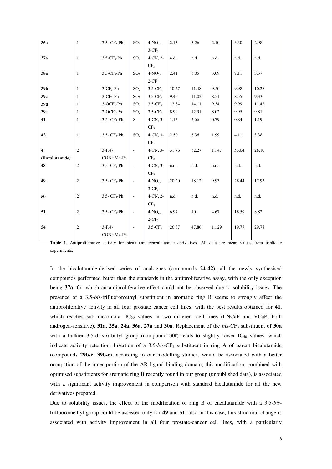| 36a                     | $\mathbf{1}$     | $3,5$ - $CF_3$ -Ph          | SO <sub>2</sub>          | $4-NO2$                | 2.15  | 5.26  | 2.10  | 3.30  | 2.98  |
|-------------------------|------------------|-----------------------------|--------------------------|------------------------|-------|-------|-------|-------|-------|
|                         |                  |                             |                          | $3-CF3$                |       |       |       |       |       |
| 37a                     | $\mathbf{1}$     | $3,5$ -CF <sub>3</sub> -Ph  | SO <sub>2</sub>          | $4$ -CN, $2$ -         | n.d.  | n.d.  | n.d.  | n.d.  | n.d.  |
|                         |                  |                             |                          | CF <sub>3</sub>        |       |       |       |       |       |
| 38a                     | $\mathbf{1}$     | $3,5$ -CF <sub>3</sub> -Ph  | SO <sub>2</sub>          | $4-NO2$                | 2.41  | 3.05  | 3.09  | 7.11  | 3.57  |
|                         |                  |                             |                          | $2-CF3$                |       |       |       |       |       |
| 39b                     | $\mathbf{1}$     | $3$ -CF <sub>3</sub> -Ph    | SO <sub>2</sub>          | $3,5$ -CF <sub>3</sub> | 10.27 | 11.48 | 9.50  | 9.98  | 10.28 |
| 39c                     | $\mathbf{1}$     | $2$ -CF <sub>3</sub> -Ph    | SO <sub>2</sub>          | $3,5$ -CF <sub>3</sub> | 9.45  | 11.02 | 8.51  | 8.55  | 9.33  |
| 39d                     | $\mathbf{1}$     | $3-OCF3-Ph$                 | SO <sub>2</sub>          | $3,5$ -CF <sub>3</sub> | 12.84 | 14.11 | 9.34  | 9.99  | 11.42 |
| 39e                     | $\mathbf{1}$     | $2-OCF3-Ph$                 | SO <sub>2</sub>          | $3,5$ -CF <sub>3</sub> | 8.99  | 12.91 | 8.02  | 9.95  | 9.81  |
| 41                      | $\mathbf{1}$     | $3,5$ - $CF_3$ -Ph          | S                        | $4$ -CN, $3$ -         | 1.13  | 2.66  | 0.79  | 0.84  | 1.19  |
|                         |                  |                             |                          | CF <sub>3</sub>        |       |       |       |       |       |
| 42                      | $\mathbf{1}$     | $3,5$ - CF <sub>3</sub> -Ph | SO <sub>2</sub>          | $4$ -CN, $3$ -         | 2.50  | 6.36  | 1.99  | 4.11  | 3.38  |
|                         |                  |                             |                          | CF <sub>3</sub>        |       |       |       |       |       |
| $\overline{\mathbf{4}}$ | $\overline{2}$   | $3-F.4-$                    | $\overline{\phantom{a}}$ | $4$ -CN, $3$ -         | 31.76 | 32.27 | 11.47 | 53.04 | 28.10 |
| (Enzalutamide)          |                  | CONHMe-Ph                   |                          | CF <sub>3</sub>        |       |       |       |       |       |
| 48                      | $\sqrt{2}$       | $3,5$ - $CF_3$ - $Ph$       | $\overline{\phantom{a}}$ | $4$ -CN, $3$ -         | n.d.  | n.d.  | n.d.  | n.d.  | n.d.  |
|                         |                  |                             |                          | CF <sub>3</sub>        |       |       |       |       |       |
| 49                      | $\overline{2}$   | $3,5$ - $CF_3$ - $Ph$       | $\overline{\phantom{a}}$ | $4-NO2$                | 20.20 | 18.12 | 9.93  | 28.44 | 17.93 |
|                         |                  |                             |                          | $3-CF_3$               |       |       |       |       |       |
| 50                      | $\boldsymbol{2}$ | $3,5 - CF_3 - Ph$           | $\blacksquare$           | $4$ -CN, $2$ -         | n.d.  | n.d.  | n.d.  | n.d.  | n.d.  |
|                         |                  |                             |                          | CF <sub>3</sub>        |       |       |       |       |       |
| 51                      | $\overline{c}$   | $3.5 - CF_3 - Ph$           | $\overline{\phantom{a}}$ | $4-NO2$                | 6.97  | 10    | 4.67  | 18.59 | 8.82  |
|                         |                  |                             |                          | $2-CF_3$               |       |       |       |       |       |
| 54                      | $\boldsymbol{2}$ | $3-F,4-$                    | $\overline{\phantom{a}}$ | $3,5$ -CF <sub>3</sub> | 26.37 | 47.86 | 11.29 | 19.77 | 29.78 |
|                         |                  | CONHMe-Ph                   |                          |                        |       |       |       |       |       |

**Table 1**. Antiproliferative activity for bicalutamide/enzalutamide derivatives. All data are mean values from triplicate experiments.

In the bicalutamide-derived series of analogues (compounds **24-42**), all the newly synthesised compounds performed better than the standards in the antiproliferative assay, with the only exception being **37a**, for which an antiproliferative effect could not be observed due to solubility issues. The presence of a 3,5-*bis*-trifluoromethyl substituent in aromatic ring B seems to strongly affect the antiproliferative activity in all four prostate cancer cell lines, with the best results obtained for **41**, which reaches sub-micromolar IC<sub>50</sub> values in two different cell lines (LNCaP and VCaP, both androgen-sensitive), **31a**, **25a**, **24a**, **36a**, **27a** and **30a**. Replacement of the *bis*-CF3 substituent of **30a** with a bulkier 3,5-di-tert-butyl group (compound 30f) leads to slightly lower IC<sub>50</sub> values, which indicate activity retention. Insertion of a 3,5-*bis*-CF3 substituent in ring A of parent bicalutamide (compounds **29b-e**, **39b-e**), according to our modelling studies, would be associated with a better occupation of the inner portion of the AR ligand binding domain; this modification, combined with optimised substituents for aromatic ring B recently found in our group (unpublished data), is associated with a significant activity improvement in comparison with standard bicalutamide for all the new derivatives prepared.

Due to solubility issues, the effect of the modification of ring B of enzalutamide with a 3,5-*bis*trifluoromethyl group could be assessed only for **49** and **51**: also in this case, this structural change is associated with activity improvement in all four prostate-cancer cell lines, with a particularly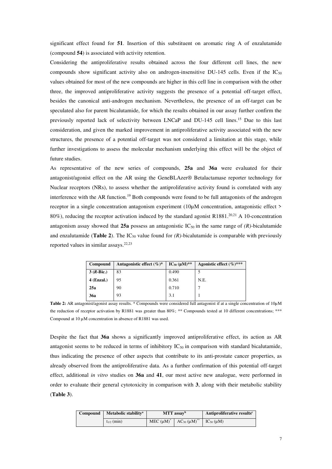significant effect found for **51**. Insertion of this substituent on aromatic ring A of enzalutamide (compound **54**) is associated with activity retention.

Considering the antiproliferative results obtained across the four different cell lines, the new compounds show significant activity also on androgen-insensitive DU-145 cells. Even if the  $IC_{50}$ values obtained for most of the new compounds are higher in this cell line in comparison with the other three, the improved antiproliferative activity suggests the presence of a potential off-target effect, besides the canonical anti-androgen mechanism. Nevertheless, the presence of an off-target can be speculated also for parent bicalutamide, for which the results obtained in our assay further confirm the previously reported lack of selectivity between LNCaP and DU-145 cell lines.<sup>15</sup> Due to this last consideration, and given the marked improvement in antiproliferative activity associated with the new structures, the presence of a potential off-target was not considered a limitation at this stage, while further investigations to assess the molecular mechanism underlying this effect will be the object of future studies.

As representative of the new series of compounds, **25a** and **36a** were evaluated for their antagonist/agonist effect on the AR using the GeneBLAzer® Betalactamase reporter technology for Nuclear receptors (NRs), to assess whether the antiproliferative activity found is correlated with any interference with the AR function.<sup>19</sup> Both compounds were found to be full antagonists of the androgen receptor in a single concentration antagonism experiment (10µM concentration, antagonistic effect > 80%), reducing the receptor activation induced by the standard agonist R1881.<sup>20,21</sup> A 10-concentration antagonism assay showed that  $25a$  possess an antagonistic  $IC_{50}$  in the same range of  $(R)$ -bicalutamide and enzalutamide (**Table 2**). The IC<sub>50</sub> value found for  $(R)$ -bicalutamide is comparable with previously reported values in similar assays.22,23

| Compound     | Antagonistic effect $(\%)^*$ | $IC_{50} (\mu M)^{**}$ | Agonistic effect $(\%)^{***}$ |
|--------------|------------------------------|------------------------|-------------------------------|
| $3(R-Bic.)$  | 83                           | 0.490                  |                               |
| $4$ (Enzal.) | 95                           | 0.361                  | N.E.                          |
| 25a          | 90                           | 0.710                  |                               |
| <b>36a</b>   | 93                           | 3.1                    |                               |

**Table 2:** AR antagonist/agonist assay results. \* Compounds were considered full antagonist if at a single concentration of 10µM the reduction of receptor activation by R1881 was greater than 80%; \*\* Compounds tested at 10 different concentrations; \*\*\* Compound at 10 µM concentration in absence of R1881 was used.

Despite the fact that **36a** shows a significantly improved antiproliferative effect, its action as AR antagonist seems to be reduced in terms of inhibitory  $IC_{50}$  in comparison with standard bicalutamide, thus indicating the presence of other aspects that contribute to its anti-prostate cancer properties, as already observed from the antiproliferative data. As a further confirmation of this potential off-target effect, additional *in vitro* studies on **36a** and **41**, our most active new analogue, were performed in order to evaluate their general cytotoxicity in comparison with **3**, along with their metabolic stability (**Table 3**).

| Compound | Metabolic stability <sup>a</sup> |             | MTT assay <sup>b</sup> | Antiproliferative results <sup>c</sup> |  |
|----------|----------------------------------|-------------|------------------------|----------------------------------------|--|
|          | $t_{1/2}$ (min)                  | $MEC (µM)*$ | $AC_{50}(\mu M)^{**}$  | $IC_{50}(\mu M)$                       |  |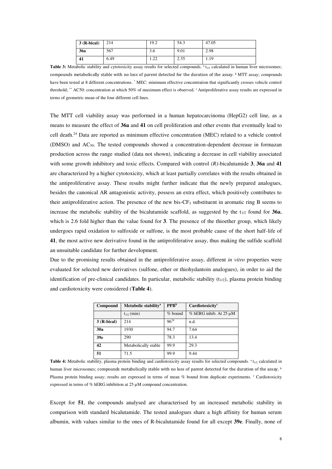| $\overline{3}$ (R-bical) | 214  | 19.2           | 54.3 | 47.05 |
|--------------------------|------|----------------|------|-------|
| <b>36a</b>               | 567  | $\sim$<br>5.0  | 9.01 | 2.98  |
| 41                       | 6.49 | $\cap$<br>1.44 | 2.35 | 1.19  |

Table 3: Metabolic stability and cytotoxicity assay results for selected compounds. <sup>a</sup>t<sub>1/2</sub> calculated in human liver microsomes; compounds metabolically stable with no loss of parent detected for the duration of the assay. b MTT assay; compounds have been tested at 8 different concentrations. \* MEC: minimum effective concentration that significantly crosses vehicle control threshold; \*\* AC50: concentration at which 50% of maximum effect is observed. <sup>c</sup>Antiproliferative assay results are expressed in terms of geometric mean of the four different cell lines.

The MTT cell viability assay was performed in a human hepatocarcinoma (HepG2) cell line, as a means to measure the effect of **36a** and **41** on cell proliferation and other events that eventually lead to cell death.<sup>24</sup> Data are reported as minimum effective concentration (MEC) related to a vehicle control (DMSO) and AC50. The tested compounds showed a concentration-dependent decrease in formazan production across the range studied (data not shown), indicating a decrease in cell viability associated with some growth inhibitory and toxic effects. Compared with control *(R)-*bicalutamide **3**, **36a** and **41** are characterized by a higher cytotoxicity, which at least partially correlates with the results obtained in the antiproliferative assay. These results might further indicate that the newly prepared analogues, besides the canonical AR antagonistic activity, possess an extra effect, which positively contributes to their antiproliferative action. The presence of the new bis- $CF_3$  substituent in aromatic ring B seems to increase the metabolic stability of the bicalutamide scaffold, as suggested by the  $t_{1/2}$  found for **36a**, which is 2.6 fold higher than the value found for **3**. The presence of the thioether group, which likely undergoes rapid oxidation to sulfoxide or sulfone, is the most probable cause of the short half-life of **41**, the most active new derivative found in the antiproliferative assay, thus making the sulfide scaffold an unsuitable candidate for further development.

Due to the promising results obtained in the antiproliferative assay, different *in vitro* properties were evaluated for selected new derivatives (sulfone, ether or thiohydantoin analogues), in order to aid the identification of pre-clinical candidates. In particular, metabolic stability  $(t_{1/2})$ , plasma protein binding and cardiotoxicity were considered (**Table 4**).

| Compound    | Metabolic stability <sup>a</sup> | PPB <sup>b</sup> | Cardiotoxicity <sup>c</sup>   |
|-------------|----------------------------------|------------------|-------------------------------|
|             | $t_{1/2}$ (min)                  | $%$ bound        | $%$ hERG inhib. At 25 $\mu$ M |
| 3 (R-bical) | 214                              | $96^{24}$        | n.d.                          |
| 30a         | 1930                             | 94.7             | 7.64                          |
| 39e         | 290                              | 78.3             | 13.4                          |
| 42          | Metabolically stable             | 99.9             | 29.3                          |
| 51          | 71.5                             | 99.9             | 9.44                          |

**Table 4:** Metabolic stability, plasma protein binding and cardiotoxicity assay results for selected compounds. <sup>a</sup>t<sub>1/2</sub> calculated in human liver microsomes; compounds metabolically stable with no loss of parent detected for the duration of the assay. b Plasma protein binding assay; results are expressed in terms of mean % bound from duplicate experiments. Cardiotoxicity expressed in terms of % hERG inhibition at 25 µM compound concentration.

Except for **51**, the compounds analysed are characterised by an increased metabolic stability in comparison with standard bicalutamide. The tested analogues share a high affinity for human serum albumin, with values similar to the ones of R-bicalutamide found for all except **39e**. Finally, none of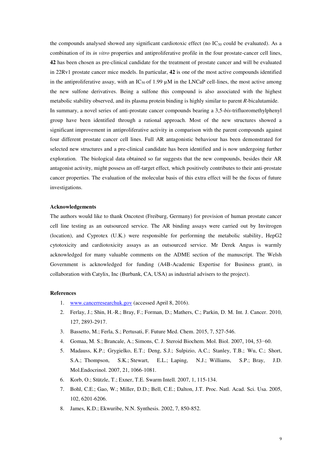the compounds analysed showed any significant cardiotoxic effect (no  $IC_{50}$  could be evaluated). As a combination of its *in vitro* properties and antiproliferative profile in the four prostate-cancer cell lines, **42** has been chosen as pre-clinical candidate for the treatment of prostate cancer and will be evaluated in 22Rv1 prostate cancer mice models. In particular, **42** is one of the most active compounds identified in the antiproliferative assay, with an  $IC_{50}$  of 1.99  $\mu$ M in the LNCaP cell-lines, the most active among the new sulfone derivatives. Being a sulfone this compound is also associated with the highest metabolic stability observed, and its plasma protein binding is highly similar to parent *R*-bicalutamide. In summary, a novel series of anti-prostate cancer compounds bearing a 3,5-*bis*-trifluoromethylphenyl group have been identified through a rational approach. Most of the new structures showed a significant improvement in antiproliferative activity in comparison with the parent compounds against four different prostate cancer cell lines. Full AR antagonistic behaviour has been demonstrated for selected new structures and a pre-clinical candidate has been identified and is now undergoing further exploration. The biological data obtained so far suggests that the new compounds, besides their AR antagonist activity, might possess an off-target effect, which positively contributes to their anti-prostate cancer properties. The evaluation of the molecular basis of this extra effect will be the focus of future investigations.

#### **Acknowledgements**

The authors would like to thank Oncotest (Freiburg, Germany) for provision of human prostate cancer cell line testing as an outsourced service. The AR binding assays were carried out by Invitrogen (location), and Cyprotex (U.K.) were responsible for performing the metabolic stability, HepG2 cytotoxicity and cardiotoxicity assays as an outsourced service. Mr Derek Angus is warmly acknowledged for many valuable comments on the ADME section of the manuscript. The Welsh Government is acknowledged for funding (A4B-Academic Expertise for Business grant), in collaboration with Catylix, Inc (Burbank, CA, USA) as industrial advisers to the project).

#### **References**

- 1. [www.cancerresearchuk.gov](http://www.cancerresearchuk.gov/) (accessed April 8, 2016).
- 2. Ferlay, J.; Shin, H.-R.; Bray, F.; Forman, D.; Mathers, C.; Parkin, D. M. Int. J. Cancer. 2010, 127, 2893-2917.
- 3. Bassetto, M.; Ferla, S.; Pertusati, F. Future Med. Chem. 2015, 7, 527-546.
- 4. Gomaa, M. S.; Brancale, A.; Simons, C. J. Steroid Biochem. Mol. Biol. 2007, 104, 53−60.
- 5. Madauss, K.P.; Grygielko, E.T.; Deng, S.J.; Sulpizio, A.C.; Stanley, T.B.; Wu, C.; Short, S.A.; Thompson, S.K.; Stewart, E.L.; Laping, N.J.; Williams, S.P.; Bray, J.D. Mol.Endocrinol. 2007, 21, 1066-1081.
- 6. Korb, O.; Stützle, T.; Exner, T.E. Swarm Intell. 2007, 1, 115-134.
- 7. Bohl, C.E.; Gao, W.; Miller, D.D.; Bell, C.E.; Dalton, J.T. Proc. Natl. Acad. Sci. Usa. 2005, 102, 6201-6206.
- 8. James, K.D.; Ekwuribe, N.N. Synthesis. 2002, 7, 850-852.